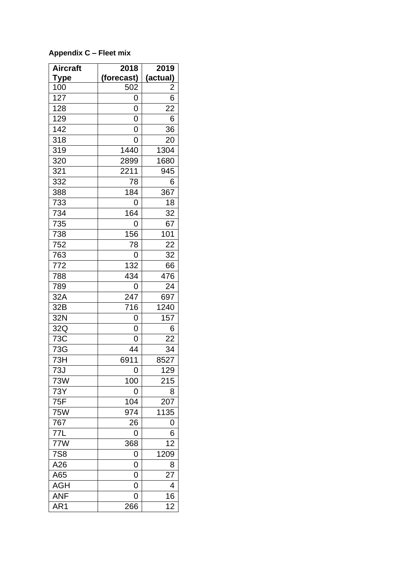| <b>Aircraft</b> | 2018       | 2019          |
|-----------------|------------|---------------|
| <u>Type</u>     | (forecast) | (actual)      |
| 100             | 502        | $\frac{2}{6}$ |
| 127             | 0          |               |
| 128             | 0          | 22            |
| 129             | 0          | 6             |
| 142             | 0          | 36            |
| 318             | 0          | 20            |
| 319             | 1440       | 1304          |
| 320             | 2899       | 1680          |
| 321             | 2211       | 945           |
| 332             | 78         | 6             |
| 388             | 184        | 367           |
| 733             | 0          | 18            |
| 734             | 164        | 32            |
| 735             | 0          | 67            |
| 738             | 156        | 101           |
| 752             | 78         | 22            |
| 763             | 0          | 32            |
| 772             | 132        | 66            |
| 788             | 434        | 476           |
| 789             | 0          | 24            |
| 32A             | 247        | 697           |
| 32B             | 716        | 1240          |
| 32N             | 0          | 157           |
| 32Q             | 0          | 6             |
| 73C             | 0          | 22            |
| 73G             | 44         | 34            |
| 73H             | 6911       | 8527          |
| 73J             | 0          | 129           |
| 73W             | 100        | 215           |
| 73Y             | 0          | 8             |
| 75F             | 104        | 207           |
| <b>75W</b>      | 974        | 1135          |
| 767             | 26         | 0             |
| 77L             | 0          | 6             |
| 77W             | 368        | 12            |
| <b>7S8</b>      | 0          | 1209          |
| A26             | 0          | 8             |
| A65             | 0          | 27            |
| <b>AGH</b>      | 0          | 4             |
| <b>ANF</b>      | 0          | 16            |
| AR1             | 266        | 12            |

**Appendix C – Fleet mix**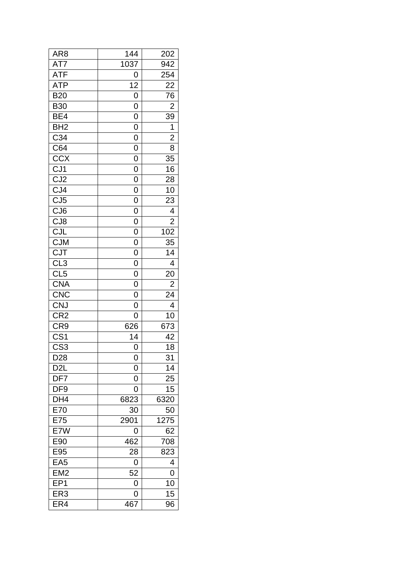| AR <sub>8</sub>         | 144            | 202                     |
|-------------------------|----------------|-------------------------|
| AT7                     | 1037           | 942                     |
| <b>ATF</b>              | 0              | 254                     |
| <b>ATP</b>              | 12             | 22                      |
| <b>B20</b>              | 0              | 76                      |
| <b>B30</b>              | 0              | $\overline{\mathbf{c}}$ |
| BE4                     | 0              | 39                      |
| $\overline{BH2}$        | 0              | $\mathbf 1$             |
| C34                     | 0              | $\overline{2}$          |
| C64                     | $\overline{0}$ | 8                       |
| CCX                     | 0              | 35                      |
|                         | 0              | 16                      |
| $\frac{CJ1}{CJ2}$       | $\overline{0}$ | 28                      |
| $\frac{CJ4}{CJ5}$       | 0              | 10                      |
|                         | 0              | 23                      |
| CJ <sub>6</sub>         | 0              | 4                       |
|                         | $\overline{0}$ | $\overline{\mathbf{c}}$ |
| CJ <sub>R</sub><br>CJR  | 0              | 102                     |
| CJM<br>CJT              | $\overline{0}$ | 35                      |
|                         | 0              | 14                      |
| CL <sub>3</sub>         | 0              | 4                       |
| CL <sub>5</sub>         | 0              | 20                      |
| <b>CNA</b>              | 0              | $\overline{\mathbf{c}}$ |
| <b>CNC</b>              | 0              | 24                      |
| <b>CNJ</b>              | 0              | 4                       |
|                         | 0              | 10                      |
| CR2<br>CR9              | 626            | 673                     |
| $\overline{\text{CS1}}$ | 14             | 42                      |
| $\overline{\text{CS3}}$ | 0              | 18                      |
| D <sub>28</sub>         | 0              | 31                      |
| D <sub>2</sub> L        | 0              | 14                      |
| DF7                     | 0              | $\overline{25}$         |
| DF9                     | 0              | 15                      |
| $\overline{DH4}$        | 6823           | 6320                    |
| E70                     | 30             | 50                      |
| E75                     | 2901           | 1275                    |
| E7W                     | 0              | 62                      |
| E90                     | 462            | 708                     |
| E95                     | 28             | 823                     |
| EA <sub>5</sub>         | 0              | 4                       |
| EM2                     | 52             | 0                       |
| EP <sub>1</sub>         | 0              | 10                      |
| ER3                     | 0              | 15                      |
| ER4                     |                |                         |